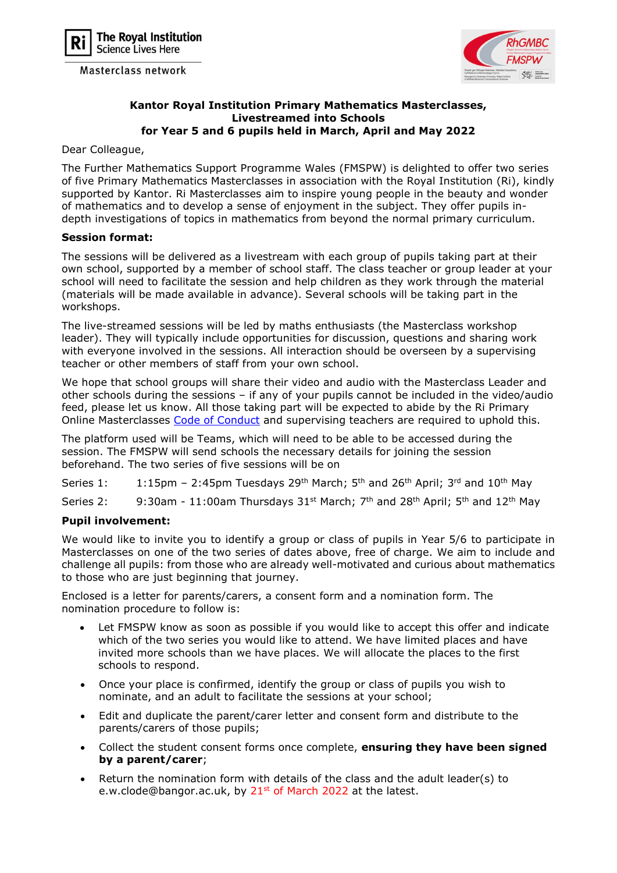

Masterclass network



## Kantor Royal Institution Primary Mathematics Masterclasses, Livestreamed into Schools for Year 5 and 6 pupils held in March, April and May 2022

Dear Colleague,

The Further Mathematics Support Programme Wales (FMSPW) is delighted to offer two series of five Primary Mathematics Masterclasses in association with the Royal Institution (Ri), kindly supported by Kantor. Ri Masterclasses aim to inspire young people in the beauty and wonder of mathematics and to develop a sense of enjoyment in the subject. They offer pupils indepth investigations of topics in mathematics from beyond the normal primary curriculum.

## Session format:

The sessions will be delivered as a livestream with each group of pupils taking part at their own school, supported by a member of school staff. The class teacher or group leader at your school will need to facilitate the session and help children as they work through the material (materials will be made available in advance). Several schools will be taking part in the workshops.

The live-streamed sessions will be led by maths enthusiasts (the Masterclass workshop leader). They will typically include opportunities for discussion, questions and sharing work with everyone involved in the sessions. All interaction should be overseen by a supervising teacher or other members of staff from your own school.

We hope that school groups will share their video and audio with the Masterclass Leader and other schools during the sessions – if any of your pupils cannot be included in the video/audio feed, please let us know. All those taking part will be expected to abide by the Ri Primary Online Masterclasses Code of Conduct and supervising teachers are required to uphold this.

The platform used will be Teams, which will need to be able to be accessed during the session. The FMSPW will send schools the necessary details for joining the session beforehand. The two series of five sessions will be on

Series 1: 1:15pm - 2:45pm Tuesdays 29<sup>th</sup> March; 5<sup>th</sup> and 26<sup>th</sup> April; 3<sup>rd</sup> and 10<sup>th</sup> May

Series 2: 9:30am - 11:00am Thursdays  $31^{st}$  March;  $7^{th}$  and  $28^{th}$  April;  $5^{th}$  and  $12^{th}$  May

## Pupil involvement:

We would like to invite you to identify a group or class of pupils in Year 5/6 to participate in Masterclasses on one of the two series of dates above, free of charge. We aim to include and challenge all pupils: from those who are already well-motivated and curious about mathematics to those who are just beginning that journey.

Enclosed is a letter for parents/carers, a consent form and a nomination form. The nomination procedure to follow is:

- Let FMSPW know as soon as possible if you would like to accept this offer and indicate which of the two series you would like to attend. We have limited places and have invited more schools than we have places. We will allocate the places to the first schools to respond.
- Once your place is confirmed, identify the group or class of pupils you wish to nominate, and an adult to facilitate the sessions at your school;
- Edit and duplicate the parent/carer letter and consent form and distribute to the parents/carers of those pupils;
- Collect the student consent forms once complete, ensuring they have been signed by a parent/carer;
- Return the nomination form with details of the class and the adult leader(s) to e.w.clode@bangor.ac.uk, by 21<sup>st</sup> of March 2022 at the latest.